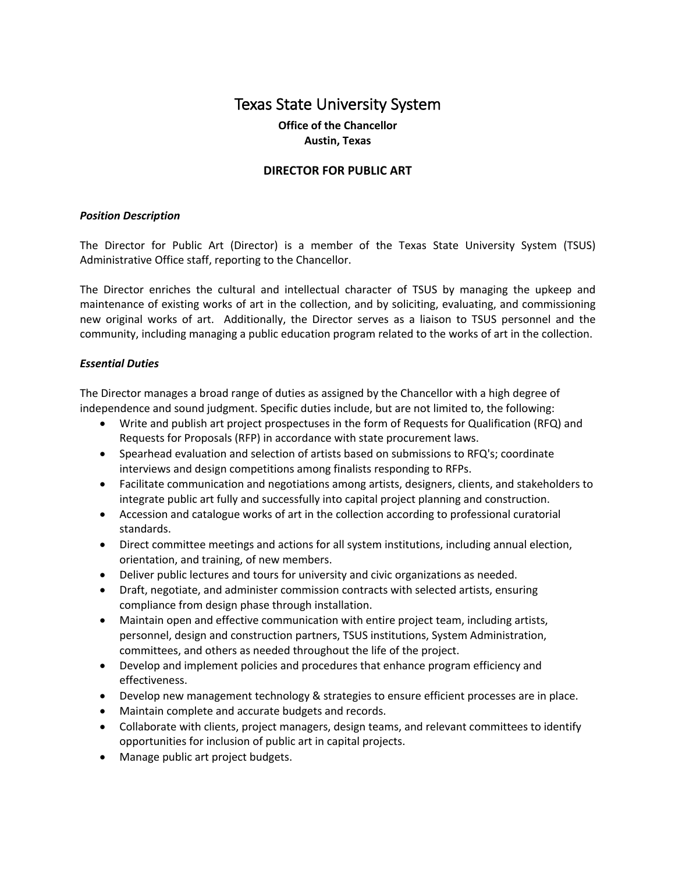# Texas State University System

## **Office of the Chancellor Austin, Texas**

## **DIRECTOR FOR PUBLIC ART**

#### *Position Description*

The Director for Public Art (Director) is a member of the Texas State University System (TSUS) Administrative Office staff, reporting to the Chancellor.

The Director enriches the cultural and intellectual character of TSUS by managing the upkeep and maintenance of existing works of art in the collection, and by soliciting, evaluating, and commissioning new original works of art. Additionally, the Director serves as a liaison to TSUS personnel and the community, including managing a public education program related to the works of art in the collection.

#### *Essential Duties*

The Director manages a broad range of duties as assigned by the Chancellor with a high degree of independence and sound judgment. Specific duties include, but are not limited to, the following:

- Write and publish art project prospectuses in the form of Requests for Qualification (RFQ) and Requests for Proposals (RFP) in accordance with state procurement laws.
- Spearhead evaluation and selection of artists based on submissions to RFQ's; coordinate interviews and design competitions among finalists responding to RFPs.
- Facilitate communication and negotiations among artists, designers, clients, and stakeholders to integrate public art fully and successfully into capital project planning and construction.
- Accession and catalogue works of art in the collection according to professional curatorial standards.
- Direct committee meetings and actions for all system institutions, including annual election, orientation, and training, of new members.
- Deliver public lectures and tours for university and civic organizations as needed.
- Draft, negotiate, and administer commission contracts with selected artists, ensuring compliance from design phase through installation.
- Maintain open and effective communication with entire project team, including artists, personnel, design and construction partners, TSUS institutions, System Administration, committees, and others as needed throughout the life of the project.
- Develop and implement policies and procedures that enhance program efficiency and effectiveness.
- Develop new management technology & strategies to ensure efficient processes are in place.
- Maintain complete and accurate budgets and records.
- Collaborate with clients, project managers, design teams, and relevant committees to identify opportunities for inclusion of public art in capital projects.
- Manage public art project budgets.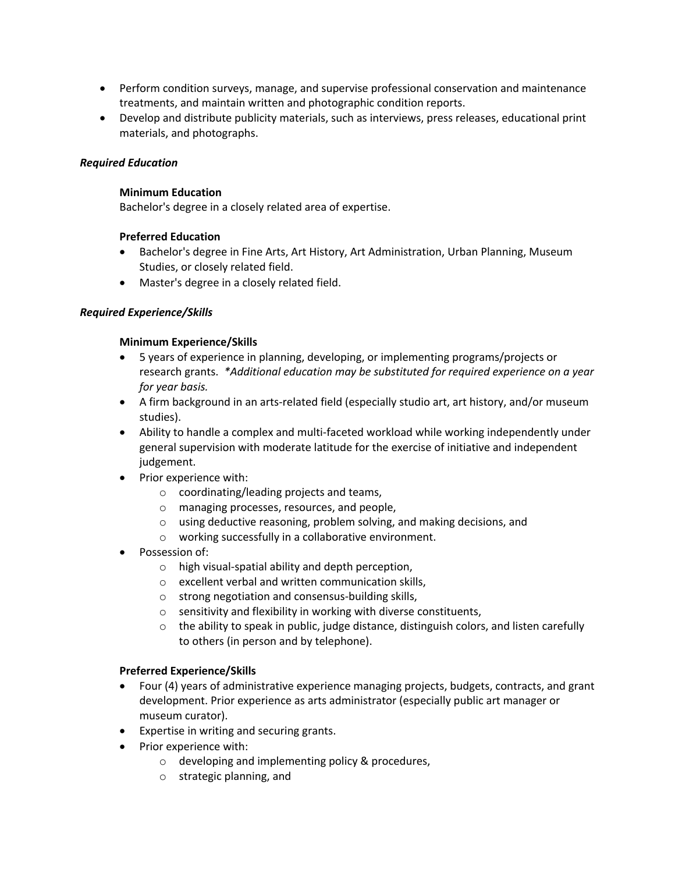- Perform condition surveys, manage, and supervise professional conservation and maintenance treatments, and maintain written and photographic condition reports.
- Develop and distribute publicity materials, such as interviews, press releases, educational print materials, and photographs.

## *Required Education*

#### **Minimum Education**

Bachelor's degree in a closely related area of expertise.

## **Preferred Education**

- Bachelor's degree in Fine Arts, Art History, Art Administration, Urban Planning, Museum Studies, or closely related field.
- Master's degree in a closely related field.

## *Required Experience/Skills*

## **Minimum Experience/Skills**

- 5 years of experience in planning, developing, or implementing programs/projects or research grants. *\*Additional education may be substituted for required experience on a year for year basis.*
- A firm background in an arts-related field (especially studio art, art history, and/or museum studies).
- Ability to handle a complex and multi-faceted workload while working independently under general supervision with moderate latitude for the exercise of initiative and independent judgement.
- Prior experience with:
	- o coordinating/leading projects and teams,
	- o managing processes, resources, and people,
	- o using deductive reasoning, problem solving, and making decisions, and
	- o working successfully in a collaborative environment.
- Possession of:
	- $\circ$  high visual-spatial ability and depth perception,
	- o excellent verbal and written communication skills,
	- o strong negotiation and consensus-building skills,
	- o sensitivity and flexibility in working with diverse constituents,
	- $\circ$  the ability to speak in public, judge distance, distinguish colors, and listen carefully to others (in person and by telephone).

#### **Preferred Experience/Skills**

- Four (4) years of administrative experience managing projects, budgets, contracts, and grant development. Prior experience as arts administrator (especially public art manager or museum curator).
- Expertise in writing and securing grants.
- Prior experience with:
	- o developing and implementing policy & procedures,
	- o strategic planning, and